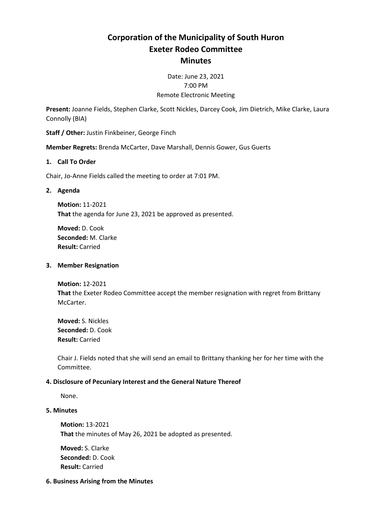# **Corporation of the Municipality of South Huron Exeter Rodeo Committee Minutes**

## Date: June 23, 2021 7:00 PM Remote Electronic Meeting

**Present:** Joanne Fields, Stephen Clarke, Scott Nickles, Darcey Cook, Jim Dietrich, Mike Clarke, Laura Connolly (BIA)

**Staff / Other:** Justin Finkbeiner, George Finch

**Member Regrets:** Brenda McCarter, Dave Marshall, Dennis Gower, Gus Guerts

#### **1. Call To Order**

Chair, Jo-Anne Fields called the meeting to order at 7:01 PM.

#### **2. Agenda**

**Motion:** 11-2021 **That** the agenda for June 23, 2021 be approved as presented.

**Moved:** D. Cook **Seconded:** M. Clarke **Result:** Carried

#### **3. Member Resignation**

**Motion:** 12-2021 **That** the Exeter Rodeo Committee accept the member resignation with regret from Brittany McCarter.

**Moved:** S. Nickles **Seconded:** D. Cook **Result:** Carried

Chair J. Fields noted that she will send an email to Brittany thanking her for her time with the Committee.

## **4. Disclosure of Pecuniary Interest and the General Nature Thereof**

None.

#### **5. Minutes**

**Motion:** 13-2021 **That** the minutes of May 26, 2021 be adopted as presented.

**Moved:** S. Clarke **Seconded:** D. Cook **Result:** Carried

#### **6. Business Arising from the Minutes**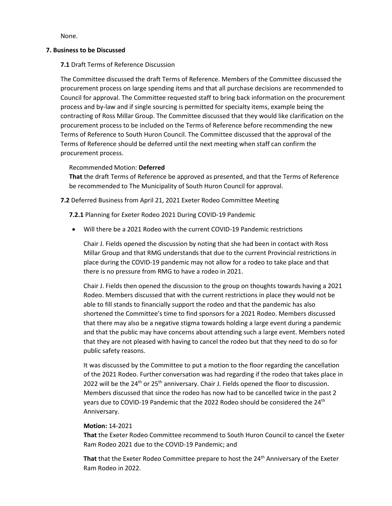None.

#### **7. Business to be Discussed**

## **7.1** Draft Terms of Reference Discussion

The Committee discussed the draft Terms of Reference. Members of the Committee discussed the procurement process on large spending items and that all purchase decisions are recommended to Council for approval. The Committee requested staff to bring back information on the procurement process and by-law and if single sourcing is permitted for specialty items, example being the contracting of Ross Millar Group. The Committee discussed that they would like clarification on the procurement process to be included on the Terms of Reference before recommending the new Terms of Reference to South Huron Council. The Committee discussed that the approval of the Terms of Reference should be deferred until the next meeting when staff can confirm the procurement process.

## Recommended Motion: **Deferred**

**That** the draft Terms of Reference be approved as presented, and that the Terms of Reference be recommended to The Municipality of South Huron Council for approval.

## **7.2** Deferred Business from April 21, 2021 Exeter Rodeo Committee Meeting

**7.2.1** Planning for Exeter Rodeo 2021 During COVID-19 Pandemic

• Will there be a 2021 Rodeo with the current COVID-19 Pandemic restrictions

Chair J. Fields opened the discussion by noting that she had been in contact with Ross Millar Group and that RMG understands that due to the current Provincial restrictions in place during the COVID-19 pandemic may not allow for a rodeo to take place and that there is no pressure from RMG to have a rodeo in 2021.

Chair J. Fields then opened the discussion to the group on thoughts towards having a 2021 Rodeo. Members discussed that with the current restrictions in place they would not be able to fill stands to financially support the rodeo and that the pandemic has also shortened the Committee's time to find sponsors for a 2021 Rodeo. Members discussed that there may also be a negative stigma towards holding a large event during a pandemic and that the public may have concerns about attending such a large event. Members noted that they are not pleased with having to cancel the rodeo but that they need to do so for public safety reasons.

It was discussed by the Committee to put a motion to the floor regarding the cancellation of the 2021 Rodeo. Further conversation was had regarding if the rodeo that takes place in 2022 will be the  $24<sup>th</sup>$  or  $25<sup>th</sup>$  anniversary. Chair J. Fields opened the floor to discussion. Members discussed that since the rodeo has now had to be cancelled twice in the past 2 years due to COVID-19 Pandemic that the 2022 Rodeo should be considered the 24<sup>th</sup> Anniversary.

## **Motion:** 14-2021

**That** the Exeter Rodeo Committee recommend to South Huron Council to cancel the Exeter Ram Rodeo 2021 due to the COVID-19 Pandemic; and

**That** that the Exeter Rodeo Committee prepare to host the 24<sup>th</sup> Anniversary of the Exeter Ram Rodeo in 2022.